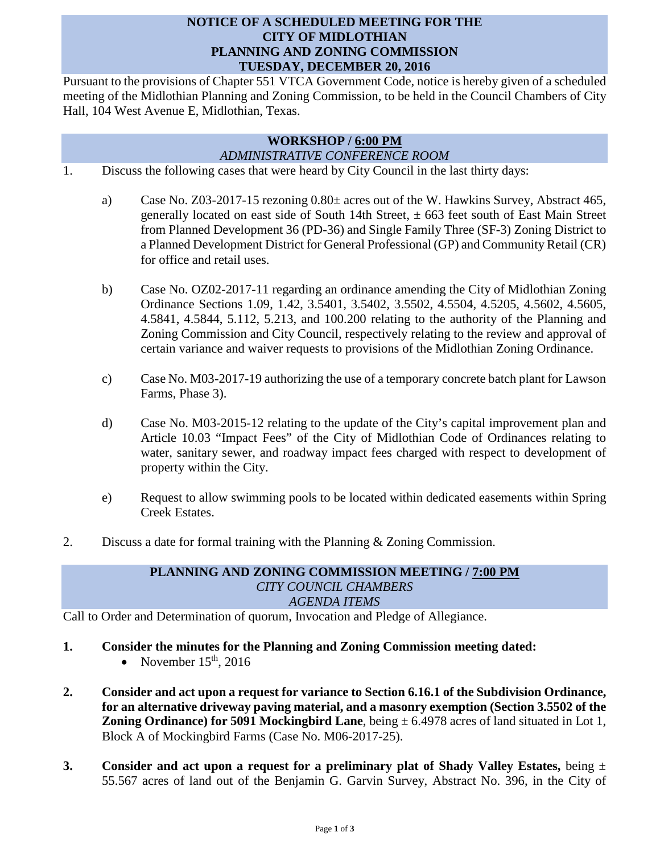## **NOTICE OF A SCHEDULED MEETING FOR THE CITY OF MIDLOTHIAN PLANNING AND ZONING COMMISSION TUESDAY, DECEMBER 20, 2016**

Pursuant to the provisions of Chapter 551 VTCA Government Code, notice is hereby given of a scheduled meeting of the Midlothian Planning and Zoning Commission, to be held in the Council Chambers of City Hall, 104 West Avenue E, Midlothian, Texas.

## **WORKSHOP / 6:00 PM** *ADMINISTRATIVE CONFERENCE ROOM*

- 1. Discuss the following cases that were heard by City Council in the last thirty days:
	- a) Case No. Z03-2017-15 rezoning 0.80± acres out of the W. Hawkins Survey, Abstract 465, generally located on east side of South 14th Street,  $\pm$  663 feet south of East Main Street from Planned Development 36 (PD-36) and Single Family Three (SF-3) Zoning District to a Planned Development District for General Professional (GP) and Community Retail (CR) for office and retail uses.
	- b) Case No. OZ02-2017-11 regarding an ordinance amending the City of Midlothian Zoning Ordinance Sections 1.09, 1.42, 3.5401, 3.5402, 3.5502, 4.5504, 4.5205, 4.5602, 4.5605, 4.5841, 4.5844, 5.112, 5.213, and 100.200 relating to the authority of the Planning and Zoning Commission and City Council, respectively relating to the review and approval of certain variance and waiver requests to provisions of the Midlothian Zoning Ordinance.
	- c) Case No. M03-2017-19 authorizing the use of a temporary concrete batch plant for Lawson Farms, Phase 3).
	- d) Case No. M03-2015-12 relating to the update of the City's capital improvement plan and Article 10.03 "Impact Fees" of the City of Midlothian Code of Ordinances relating to water, sanitary sewer, and roadway impact fees charged with respect to development of property within the City.
	- e) Request to allow swimming pools to be located within dedicated easements within Spring Creek Estates.
- 2. Discuss a date for formal training with the Planning  $\&$  Zoning Commission.

## **PLANNING AND ZONING COMMISSION MEETING / 7:00 PM** *CITY COUNCIL CHAMBERS AGENDA ITEMS*

Call to Order and Determination of quorum, Invocation and Pledge of Allegiance.

- **1. Consider the minutes for the Planning and Zoning Commission meeting dated:** 
	- November  $15<sup>th</sup>$ , 2016
- **2. Consider and act upon a request for variance to Section 6.16.1 of the Subdivision Ordinance, for an alternative driveway paving material, and a masonry exemption (Section 3.5502 of the Zoning Ordinance) for 5091 Mockingbird Lane**, being  $\pm$  6.4978 acres of land situated in Lot 1, Block A of Mockingbird Farms (Case No. M06-2017-25).
- **3. Consider and act upon a request for a preliminary plat of Shady Valley Estates,** being ± 55.567 acres of land out of the Benjamin G. Garvin Survey, Abstract No. 396, in the City of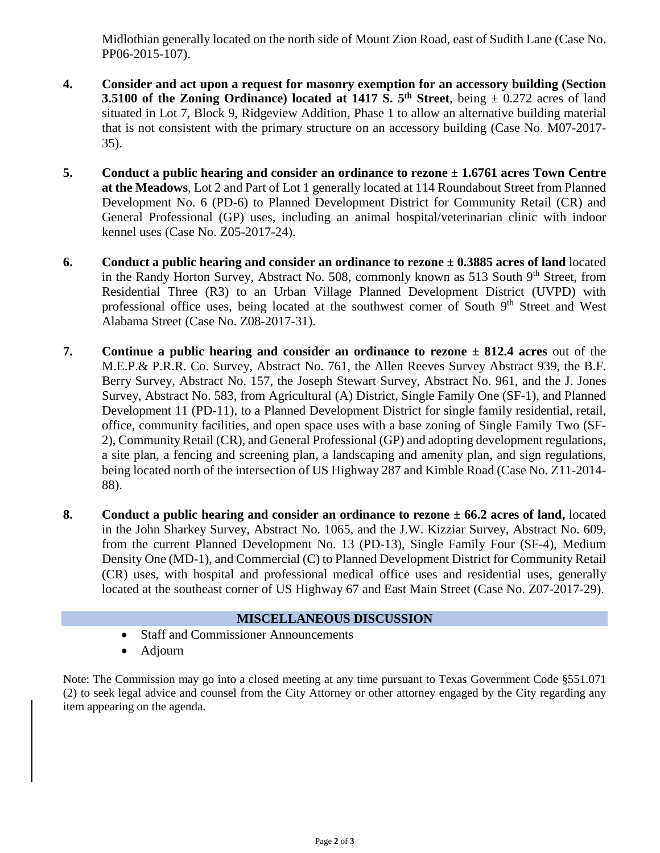Midlothian generally located on the north side of Mount Zion Road, east of Sudith Lane (Case No. PP06-2015-107).

- **4. Consider and act upon a request for masonry exemption for an accessory building (Section 3.5100 of the Zoning Ordinance) located at 1417 S.**  $5<sup>th</sup>$  **Street, being**  $\pm$  **0.272 acres of land** situated in Lot 7, Block 9, Ridgeview Addition, Phase 1 to allow an alternative building material that is not consistent with the primary structure on an accessory building (Case No. M07-2017- 35).
- **5. Conduct a public hearing and consider an ordinance to rezone ± 1.6761 acres Town Centre at the Meadows**, Lot 2 and Part of Lot 1 generally located at 114 Roundabout Street from Planned Development No. 6 (PD-6) to Planned Development District for Community Retail (CR) and General Professional (GP) uses, including an animal hospital/veterinarian clinic with indoor kennel uses (Case No. Z05-2017-24).
- **6. Conduct a public hearing and consider an ordinance to rezone ± 0.3885 acres of land** located in the Randy Horton Survey, Abstract No. 508, commonly known as 513 South  $9<sup>th</sup>$  Street, from Residential Three (R3) to an Urban Village Planned Development District (UVPD) with professional office uses, being located at the southwest corner of South 9<sup>th</sup> Street and West Alabama Street (Case No. Z08-2017-31).
- **7. Continue a public hearing and consider an ordinance to rezone ± 812.4 acres** out of the M.E.P.& P.R.R. Co. Survey, Abstract No. 761, the Allen Reeves Survey Abstract 939, the B.F. Berry Survey, Abstract No. 157, the Joseph Stewart Survey, Abstract No. 961, and the J. Jones Survey, Abstract No. 583, from Agricultural (A) District, Single Family One (SF-1), and Planned Development 11 (PD-11), to a Planned Development District for single family residential, retail, office, community facilities, and open space uses with a base zoning of Single Family Two (SF-2), Community Retail (CR), and General Professional (GP) and adopting development regulations, a site plan, a fencing and screening plan, a landscaping and amenity plan, and sign regulations, being located north of the intersection of US Highway 287 and Kimble Road (Case No. Z11-2014- 88).
- **8. Conduct a public hearing and consider an ordinance to rezone ± 66.2 acres of land,** located in the John Sharkey Survey, Abstract No. 1065, and the J.W. Kizziar Survey, Abstract No. 609, from the current Planned Development No. 13 (PD-13), Single Family Four (SF-4), Medium Density One (MD-1), and Commercial (C) to Planned Development District for Community Retail (CR) uses, with hospital and professional medical office uses and residential uses, generally located at the southeast corner of US Highway 67 and East Main Street (Case No. Z07-2017-29).

## **MISCELLANEOUS DISCUSSION**

- Staff and Commissioner Announcements
- Adjourn

Note: The Commission may go into a closed meeting at any time pursuant to Texas Government Code §551.071 (2) to seek legal advice and counsel from the City Attorney or other attorney engaged by the City regarding any item appearing on the agenda.